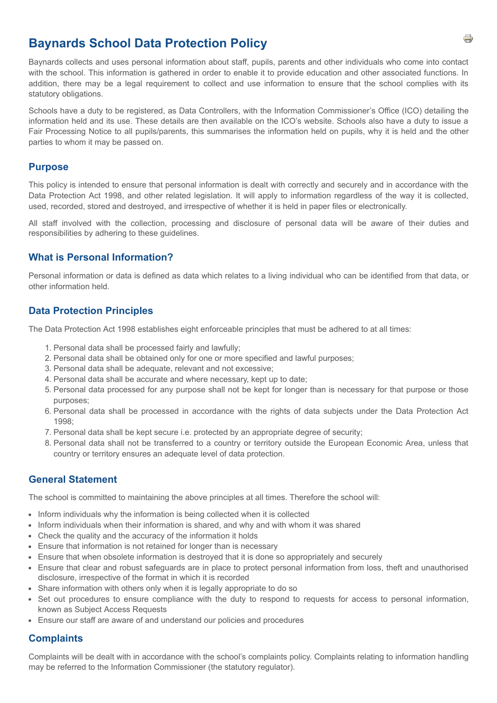# **Baynards School Data Protection Policy**

Baynards collects and uses personal information about staff, pupils, parents and other individuals who come into contact with the school. This information is gathered in order to enable it to provide education and other associated functions. In addition, there may be a legal requirement to collect and use information to ensure that the school complies with its statutory obligations.

Schools have a duty to be registered, as Data Controllers, with the Information Commissioner's Office (ICO) detailing the information held and its use. These details are then available on the ICO's website. Schools also have a duty to issue a Fair Processing Notice to all pupils/parents, this summarises the information held on pupils, why it is held and the other parties to whom it may be passed on.

#### **Purpose**

This policy is intended to ensure that personal information is dealt with correctly and securely and in accordance with the Data Protection Act 1998, and other related legislation. It will apply to information regardless of the way it is collected, used, recorded, stored and destroyed, and irrespective of whether it is held in paper files or electronically.

All staff involved with the collection, processing and disclosure of personal data will be aware of their duties and responsibilities by adhering to these guidelines.

#### **What is Personal Information?**

Personal information or data is defined as data which relates to a living individual who can be identified from that data, or other information held.

#### **Data Protection Principles**

The Data Protection Act 1998 establishes eight enforceable principles that must be adhered to at all times:

- 1. Personal data shall be processed fairly and lawfully;
- 2. Personal data shall be obtained only for one or more specified and lawful purposes;
- 3. Personal data shall be adequate, relevant and not excessive;
- 4. Personal data shall be accurate and where necessary, kept up to date;
- 5. Personal data processed for any purpose shall not be kept for longer than is necessary for that purpose or those purposes;
- 6. Personal data shall be processed in accordance with the rights of data subjects under the Data Protection Act 1998;
- 7. Personal data shall be kept secure i.e. protected by an appropriate degree of security;
- 8. Personal data shall not be transferred to a country or territory outside the European Economic Area, unless that country or territory ensures an adequate level of data protection.

#### **General Statement**

The school is committed to maintaining the above principles at all times. Therefore the school will:

- Inform individuals why the information is being collected when it is collected
- Inform individuals when their information is shared, and why and with whom it was shared
- Check the quality and the accuracy of the information it holds
- Ensure that information is not retained for longer than is necessary
- Ensure that when obsolete information is destroyed that it is done so appropriately and securely
- Ensure that clear and robust safeguards are in place to protect personal information from loss, theft and unauthorised disclosure, irrespective of the format in which it is recorded
- Share information with others only when it is legally appropriate to do so
- Set out procedures to ensure compliance with the duty to respond to requests for access to personal information, known as Subject Access Requests
- Ensure our staff are aware of and understand our policies and procedures

### **Complaints**

Complaints will be dealt with in accordance with the school's complaints policy. Complaints relating to information handling may be referred to the Information Commissioner (the statutory regulator).